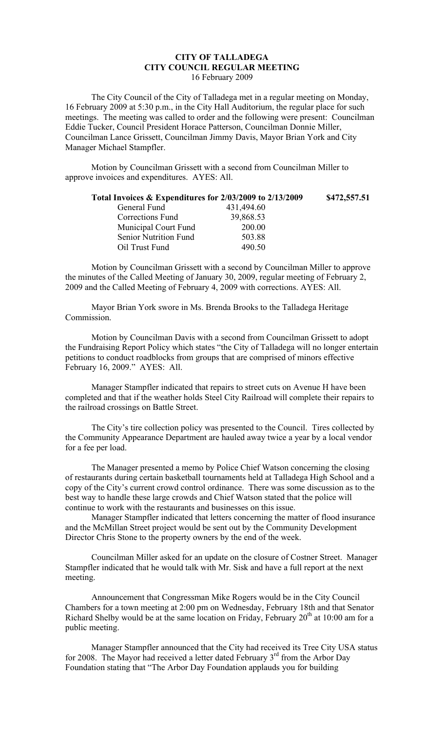## **CITY OF TALLADEGA CITY COUNCIL REGULAR MEETING** 16 February 2009

The City Council of the City of Talladega met in a regular meeting on Monday, 16 February 2009 at 5:30 p.m., in the City Hall Auditorium, the regular place for such meetings. The meeting was called to order and the following were present: Councilman Eddie Tucker, Council President Horace Patterson, Councilman Donnie Miller, Councilman Lance Grissett, Councilman Jimmy Davis, Mayor Brian York and City Manager Michael Stampfler.

Motion by Councilman Grissett with a second from Councilman Miller to approve invoices and expenditures. AYES: All.

| Total Invoices & Expenditures for 2/03/2009 to 2/13/2009 | \$472,557.51 |
|----------------------------------------------------------|--------------|
| 431,494.60                                               |              |
| 39,868.53                                                |              |
| 200.00                                                   |              |
| 503.88                                                   |              |
| 490.50                                                   |              |
|                                                          |              |

Motion by Councilman Grissett with a second by Councilman Miller to approve the minutes of the Called Meeting of January 30, 2009, regular meeting of February 2, 2009 and the Called Meeting of February 4, 2009 with corrections. AYES: All.

Mayor Brian York swore in Ms. Brenda Brooks to the Talladega Heritage Commission.

Motion by Councilman Davis with a second from Councilman Grissett to adopt the Fundraising Report Policy which states "the City of Talladega will no longer entertain petitions to conduct roadblocks from groups that are comprised of minors effective February 16, 2009." AYES: All.

Manager Stampfler indicated that repairs to street cuts on Avenue H have been completed and that if the weather holds Steel City Railroad will complete their repairs to the railroad crossings on Battle Street.

The City's tire collection policy was presented to the Council. Tires collected by the Community Appearance Department are hauled away twice a year by a local vendor for a fee per load.

The Manager presented a memo by Police Chief Watson concerning the closing of restaurants during certain basketball tournaments held at Talladega High School and a copy of the City's current crowd control ordinance. There was some discussion as to the best way to handle these large crowds and Chief Watson stated that the police will continue to work with the restaurants and businesses on this issue.

Manager Stampfler indicated that letters concerning the matter of flood insurance and the McMillan Street project would be sent out by the Community Development Director Chris Stone to the property owners by the end of the week.

Councilman Miller asked for an update on the closure of Costner Street. Manager Stampfler indicated that he would talk with Mr. Sisk and have a full report at the next meeting.

Announcement that Congressman Mike Rogers would be in the City Council Chambers for a town meeting at 2:00 pm on Wednesday, February 18th and that Senator Richard Shelby would be at the same location on Friday, February  $20<sup>th</sup>$  at 10:00 am for a public meeting.

Manager Stampfler announced that the City had received its Tree City USA status for 2008. The Mayor had received a letter dated February  $3<sup>rd</sup>$  from the Arbor Day Foundation stating that "The Arbor Day Foundation applauds you for building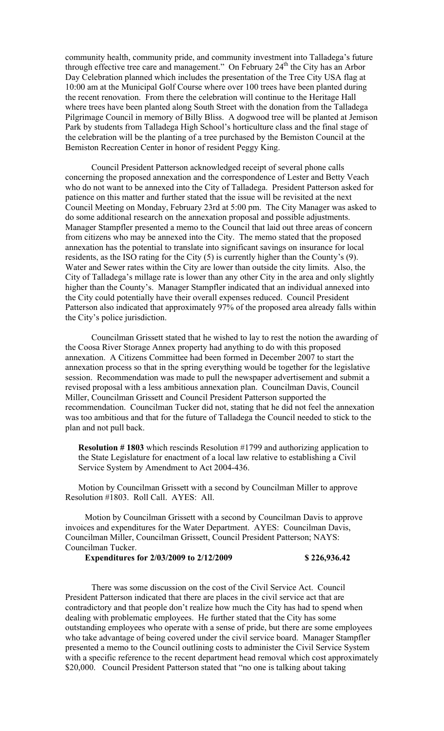community health, community pride, and community investment into Talladega's future through effective tree care and management." On February 24<sup>th</sup> the City has an Arbor Day Celebration planned which includes the presentation of the Tree City USA flag at 10:00 am at the Municipal Golf Course where over 100 trees have been planted during the recent renovation. From there the celebration will continue to the Heritage Hall where trees have been planted along South Street with the donation from the Talladega Pilgrimage Council in memory of Billy Bliss. A dogwood tree will be planted at Jemison Park by students from Talladega High School's horticulture class and the final stage of the celebration will be the planting of a tree purchased by the Bemiston Council at the Bemiston Recreation Center in honor of resident Peggy King.

Council President Patterson acknowledged receipt of several phone calls concerning the proposed annexation and the correspondence of Lester and Betty Veach who do not want to be annexed into the City of Talladega. President Patterson asked for patience on this matter and further stated that the issue will be revisited at the next Council Meeting on Monday, February 23rd at 5:00 pm. The City Manager was asked to do some additional research on the annexation proposal and possible adjustments. Manager Stampfler presented a memo to the Council that laid out three areas of concern from citizens who may be annexed into the City. The memo stated that the proposed annexation has the potential to translate into significant savings on insurance for local residents, as the ISO rating for the City (5) is currently higher than the County's (9). Water and Sewer rates within the City are lower than outside the city limits. Also, the City of Talladega's millage rate is lower than any other City in the area and only slightly higher than the County's. Manager Stampfler indicated that an individual annexed into the City could potentially have their overall expenses reduced. Council President Patterson also indicated that approximately 97% of the proposed area already falls within the City's police jurisdiction.

Councilman Grissett stated that he wished to lay to rest the notion the awarding of the Coosa River Storage Annex property had anything to do with this proposed annexation. A Citizens Committee had been formed in December 2007 to start the annexation process so that in the spring everything would be together for the legislative session. Recommendation was made to pull the newspaper advertisement and submit a revised proposal with a less ambitious annexation plan. Councilman Davis, Council Miller, Councilman Grissett and Council President Patterson supported the recommendation. Councilman Tucker did not, stating that he did not feel the annexation was too ambitious and that for the future of Talladega the Council needed to stick to the plan and not pull back.

**Resolution # 1803** which rescinds Resolution #1799 and authorizing application to the State Legislature for enactment of a local law relative to establishing a Civil Service System by Amendment to Act 2004-436.

Motion by Councilman Grissett with a second by Councilman Miller to approve Resolution #1803. Roll Call. AYES: All.

Motion by Councilman Grissett with a second by Councilman Davis to approve invoices and expenditures for the Water Department. AYES: Councilman Davis, Councilman Miller, Councilman Grissett, Council President Patterson; NAYS: Councilman Tucker.

**Expenditures for 2/03/2009 to 2/12/2009 \$ 226,936.42**

There was some discussion on the cost of the Civil Service Act. Council President Patterson indicated that there are places in the civil service act that are contradictory and that people don't realize how much the City has had to spend when dealing with problematic employees. He further stated that the City has some outstanding employees who operate with a sense of pride, but there are some employees who take advantage of being covered under the civil service board. Manager Stampfler presented a memo to the Council outlining costs to administer the Civil Service System with a specific reference to the recent department head removal which cost approximately \$20,000. Council President Patterson stated that "no one is talking about taking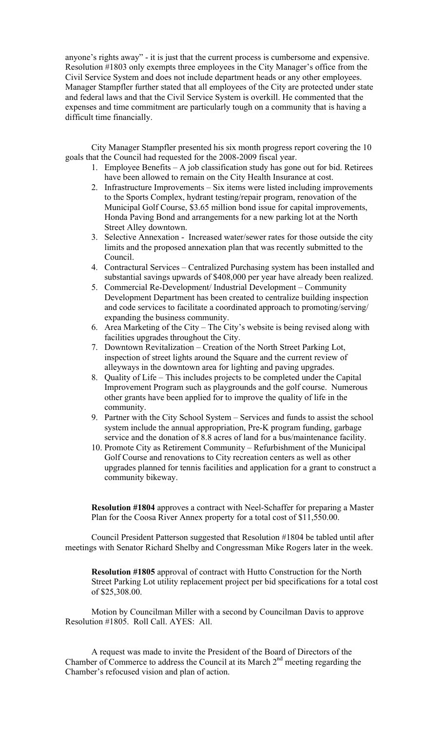anyone's rights away" - it is just that the current process is cumbersome and expensive. Resolution #1803 only exempts three employees in the City Manager's office from the Civil Service System and does not include department heads or any other employees. Manager Stampfler further stated that all employees of the City are protected under state and federal laws and that the Civil Service System is overkill. He commented that the expenses and time commitment are particularly tough on a community that is having a difficult time financially.

City Manager Stampfler presented his six month progress report covering the 10 goals that the Council had requested for the 2008-2009 fiscal year.

- 1. Employee Benefits A job classification study has gone out for bid. Retirees have been allowed to remain on the City Health Insurance at cost.
- 2. Infrastructure Improvements Six items were listed including improvements to the Sports Complex, hydrant testing/repair program, renovation of the Municipal Golf Course, \$3.65 million bond issue for capital improvements, Honda Paving Bond and arrangements for a new parking lot at the North Street Alley downtown.
- 3. Selective Annexation Increased water/sewer rates for those outside the city limits and the proposed annexation plan that was recently submitted to the Council.
- 4. Contractural Services Centralized Purchasing system has been installed and substantial savings upwards of \$408,000 per year have already been realized.
- 5. Commercial Re-Development/ Industrial Development Community Development Department has been created to centralize building inspection and code services to facilitate a coordinated approach to promoting/serving/ expanding the business community.
- 6. Area Marketing of the City The City's website is being revised along with facilities upgrades throughout the City.
- 7. Downtown Revitalization Creation of the North Street Parking Lot, inspection of street lights around the Square and the current review of alleyways in the downtown area for lighting and paving upgrades.
- 8. Quality of Life This includes projects to be completed under the Capital Improvement Program such as playgrounds and the golf course. Numerous other grants have been applied for to improve the quality of life in the community.
- 9. Partner with the City School System Services and funds to assist the school system include the annual appropriation, Pre-K program funding, garbage service and the donation of 8.8 acres of land for a bus/maintenance facility.
- 10. Promote City as Retirement Community Refurbishment of the Municipal Golf Course and renovations to City recreation centers as well as other upgrades planned for tennis facilities and application for a grant to construct a community bikeway.

**Resolution #1804** approves a contract with Neel-Schaffer for preparing a Master Plan for the Coosa River Annex property for a total cost of \$11,550.00.

Council President Patterson suggested that Resolution #1804 be tabled until after meetings with Senator Richard Shelby and Congressman Mike Rogers later in the week.

**Resolution #1805** approval of contract with Hutto Construction for the North Street Parking Lot utility replacement project per bid specifications for a total cost of \$25,308.00.

Motion by Councilman Miller with a second by Councilman Davis to approve Resolution #1805. Roll Call. AYES: All.

A request was made to invite the President of the Board of Directors of the Chamber of Commerce to address the Council at its March  $2<sup>nd</sup>$  meeting regarding the Chamber's refocused vision and plan of action.